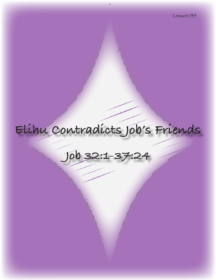# **Elihu Contradicts Job's Friends**

**Job 32:1-37:24**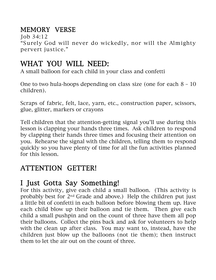## MEMORY VERSE

Job 34:12 "Surely God will never do wickedly, nor will the Almighty pervert justice."

# WHAT YOU WILL NEED:

A small balloon for each child in your class and confetti

One to two hula-hoops depending on class size (one for each  $8 - 10$ ) children).

Scraps of fabric, felt, lace, yarn, etc., construction paper, scissors, glue, glitter, markers or crayons

Tell children that the attention-getting signal you'll use during this lesson is clapping your hands three times. Ask children to respond by clapping their hands three times and focusing their attention on you. Rehearse the signal with the children, telling them to respond quickly so you have plenty of time for all the fun activities planned for this lesson.

# ATTENTION GETTER!

# I Just Gotta Say Something!

For this activity, give each child a small balloon. (This activity is probably best for 2nd Grade and above.) Help the children put just a little bit of confetti in each balloon before blowing them up. Have each child blow up their balloon and tie them. Then give each child a small pushpin and on the count of three have them all pop their balloons. Collect the pins back and ask for volunteers to help with the clean up after class. You may want to, instead, have the children just blow up the balloons (not tie them); then instruct them to let the air out on the count of three.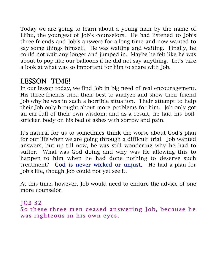Today we are going to learn about a young man by the name of Elihu, the youngest of Job's counselors. He had listened to Job's three friends and Job's answers for a long time and now wanted to say some things himself. He was waiting and waiting. Finally, he could not wait any longer and jumped in. Maybe he felt like he was about to pop like our balloons if he did not say anything. Let's take a look at what was so important for him to share with Job.

## LESSON TIME!

In our lesson today, we find Job in big need of real encouragement. His three friends tried their best to analyze and show their friend Job why he was in such a horrible situation. Their attempt to help their Job only brought about more problems for him. Job only got an ear-full of their own wisdom; and as a result, he laid his boilstricken body on his bed of ashes with sorrow and pain.

It's natural for us to sometimes think the worse about God's plan for our life when we are going through a difficult trial. Job wanted answers, but up till now, he was still wondering why he had to suffer. What was God doing and why was He allowing this to happen to him when he had done nothing to deserve such treatment? God is never wicked or unjust. He had a plan for Job's life, though Job could not yet see it.

At this time, however, Job would need to endure the advice of one more counselor.

#### J OB 32 So these three men ceased answering Job, because he was righteous in his own eyes.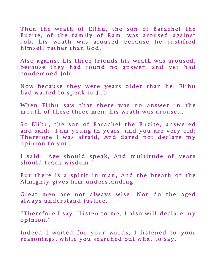Then the wrath of Elihu, the son of Barachel the Buzite, of the family of Ram, was aroused against Job; his wrath was aroused because he justified him self rather than God.

Also against his three friends his wrath was aroused, because they had found no answer, and yet had condemned Job.

Now because they were years older than he, Elihu had waited to speak to Job.

When Elihu saw that there was no answer in the mouth of these three men, his wrath was aroused.

So Elihu, the son of Barachel the Buzite, answered and said: "I am young in years, and you are very old; Therefore I was afraid, And dared not declare my opinion to you.

I said, 'Age should speak, And multitude of years should teach wisdom.'

But there is a spirit in man, And the breath of the Almighty gives him understanding.

Great men are not always wise, Nor do the aged always understand justice.

"Therefore I say, 'Listen to me, I also will declare my opinion.'

Indeed I waited for your words, I listened to your reasonings, while you searched out what to say.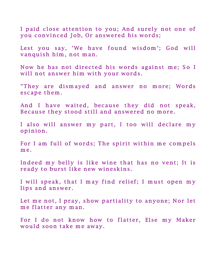I paid close attention to you; And surely not one of you convinced Job, Or answered his words;

Lest you say, 'We have found wisdom'; God will vanquish him, not man.

Now he has not directed his words against me; So I will not answer him with your words.

"They are dismayed and answer no more; Words escape them.

And I have waited, because they did not speak, Because they stood still and answered no more.

I also will answer my part, I too will declare my opinion.

For I am full of words; The spirit within me compels me.

Indeed my belly is like wine that has no vent; It is ready to burst like new wineskins.

I will speak, that I may find relief; I must open my lips and answer.

Let me not, I pray, show partiality to anyone; Nor let me flatter any man.

For I do not know how to flatter, Else my Maker would soon take me away.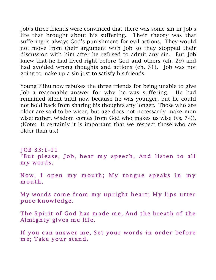Job's three friends were convinced that there was some sin in Job's life that brought about his suffering. Their theory was that suffering is always God's punishment for evil actions. They would not move from their argument with Job so they stopped their discussion with him after he refused to admit any sin. But Job knew that he had lived right before God and others (ch. 29) and had avoided wrong thoughts and actions (ch. 31). Job was not going to make up a sin just to satisfy his friends.

Young Elihu now rebukes the three friends for being unable to give Job a reasonable answer for why he was suffering. He had remained silent until now because he was younger, but he could not hold back from sharing his thoughts any longer. Those who are older are said to be wiser, but age does not necessarily make men wise; rather, wisdom comes from God who makes us wise (vs. 7-9). (Note: It certainly it is important that we respect those who are older than us.)

JOB 33:1-11 "But please, Job, hear my speech, And listen to all my words.

Now, I open my mouth; My tongue speaks in my m outh.

My words come from my upright heart; My lips utter pure knowledge.

The Spirit of God has made me, And the breath of the Almighty gives me life.

If you can answer me, Set your words in order before me; Take your stand.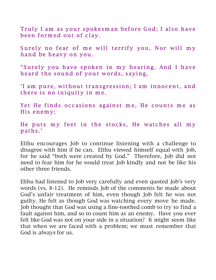Truly I am as your spokesman before God; I also have been formed out of clay.

Surely no fear of me will terrify you, Nor will my hand be heavy on you.

"Surely you have spoken in my hearing, And I have heard the sound of your words, saying,

'I am pure, without transgression; I am innocent, and there is no iniquity in me.

Yet He finds occasions against me, He counts me as His enemy;

He puts my feet in the stocks, He watches all my paths .'

Elihu encourages Job to continue listening with a challenge to disagree with him if he can. Elihu viewed himself equal with Job, for he said "both were created by God." Therefore, Job did not need to fear him for he would treat Job kindly and not be like his other three friends.

Elihu had listened to Job very carefully and even quoted Job's very words (vs. 8-12). He reminds Job of the comments he made about God's unfair treatment of him, even though Job felt he was not guilty. He felt as though God was watching every move he made. Job thought that God was using a fine-toothed comb to try to find a fault against him, and so to count him as an enemy. Have you ever felt like God was not on your side in a situation? It might seem like that when we are faced with a problem; we must remember that God is always for us.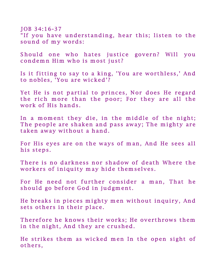JOB 34:16-37 "If you have understanding, hear this; listen to the sound of my words:

Should one who hates justice govern? Will vou condemn Him who is most just?

Is it fitting to say to a king, 'You are worthless,' And to nobles, 'You are wicked'?

Yet He is not partial to princes, Nor does He regard the rich more than the poor; For they are all the work of His hands.

In a moment they die, in the middle of the night; The people are shaken and pass away; The mighty are taken away without a hand.

For His eyes are on the ways of man, And He sees all his steps.

There is no darkness nor shadow of death Where the workers of iniquity may hide themselves.

For He need not further consider a man, That he should go before God in judgment.

He breaks in pieces mighty men without inquiry, And sets others in their place.

Therefore he knows their works; He overthrows them in the night, And they are crushed.

He strikes them as wicked men In the open sight of others,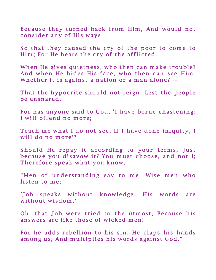Because they turned back from Him, And would not consider any of His ways,

So that they caused the cry of the poor to come to Him; For He hears the cry of the afflicted.

When He gives quietness, who then can make trouble? And when He hides His face, who then can see Him, Whether it is against a nation or a man alone? --

That the hypocrite should not reign, Lest the people be ensnared.

For has anyone said to God, 'I have borne chastening; I will offend no more;

Teach me what I do not see; If I have done iniquity, I will do no more'?

Should He repay it according to your terms, Just because you disavow it? You must choose, and not I; Therefore speak what you know.

"Men of understanding say to me, Wise men who listen to me:

'Job speaks without knowledge, His words are without wisdom.'

Oh, that Job were tried to the utmost, Because his answers are like those of wicked men!

For he adds rebellion to his sin; He claps his hands among us, And multiplies his words against God."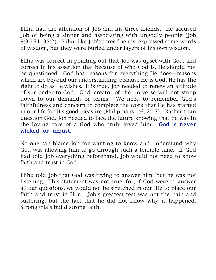Elihu had the attention of Job and his three friends. He accused Job of being a sinner and associating with ungodly people (Job 9:30-31; 35:2). Elihu, like Job's three friends, expressed some words of wisdom, but they were buried under layers of his own wisdom.

Elihu was correct in pointing out that Job was upset with God, and correct in his assertion that because of who God is, He should not be questioned. God has reasons for everything He does—reasons which are beyond our understanding; because He is God, He has the right to do as He wishes. It is true, Job needed to renew an attitude of surrender to God. God, creator of the universe will not stoop down to our demands or terms. We need to remember God's faithfulness and concern to complete the work that He has started in our life for His good pleasure (Philippians 1:6; 2:13). Rather than question God, Job needed to face the future knowing that he was in the loving care of a God who truly loved him. God is never wicked or unjust.

No one can blame Job for wanting to know and understand why God was allowing him to go through such a terrible time. If God had told Job everything beforehand, Job would not need to show faith and trust in God.

Elihu told Job that God was trying to answer him, but he was not listening. This statement was not true; for, if God were to answer all our questions, we would not be stretched in our life to place our faith and trust in Him. Job's greatest test was not the pain and suffering, but the fact that he did not know why it happened. Strong trials build strong faith.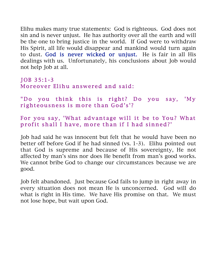Elihu makes many true statements: God is righteous. God does not sin and is never unjust. He has authority over all the earth and will be the one to bring justice in the world. If God were to withdraw His Spirit, all life would disappear and mankind would turn again to dust. God is never wicked or unjust. He is fair in all His dealings with us. Unfortunately, his conclusions about Job would not help Job at all.

#### $JOB$  35:1-3 Moreover Elihu answered and said:

"Do you think this is right? Do you say, 'My righteousness is more than God's'?

For you say, 'What advantage will it be to You? What profit shall I have, more than if I had sinned?'

Job had said he was innocent but felt that he would have been no better off before God if he had sinned (vs. 1-3). Elihu pointed out that God is supreme and because of His sovereignty, He not affected by man's sins nor does He benefit from man's good works. We cannot bribe God to change our circumstances because we are good.

Job felt abandoned. Just because God fails to jump in right away in every situation does not mean He is unconcerned. God will do what is right in His time. We have His promise on that. We must not lose hope, but wait upon God.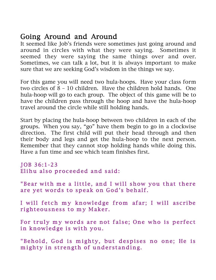## Going Around and Around

It seemed like Job's friends were sometimes just going around and around in circles with what they were saying. Sometimes it seemed they were saying the same things over and over. Sometimes, we can talk a lot, but it is always important to make sure that we are seeking God's wisdom in the things we say.

For this game you will need two hula-hoops. Have your class form two circles of 8 – 10 children. Have the children hold hands. One hula-hoop will go to each group. The object of this game will be to have the children pass through the hoop and have the hula-hoop travel around the circle while still holding hands.

Start by placing the hula-hoop between two children in each of the groups. When you say, "go" have them begin to go in a clockwise direction. The first child will put their head through and then their body and legs and get the hula-hoop to the next person. Remember that they cannot stop holding hands while doing this. Have a fun time and see which team finishes first.

JOB 36:1-23 Elihu also proceeded and said:

"Bear with me a little, and I will show you that there are yet words to speak on God's behalf.

I will fetch my knowledge from afar; I will ascribe righteousness to my Maker.

For truly my words are not false; One who is perfect in knowledge is with you.

"Behold, God is mighty, but despises no one; He is mighty in strength of understanding.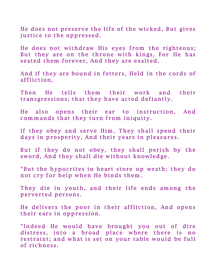He does not preserve the life of the wicked, But gives justice to the oppressed.

He does not withdraw His eyes from the righteous; But they are on the throne with kings, For He has seated them forever, And they are exalted.

And if they are bound in fetters, Held in the cords of affliction,

Then He tells them their work and their transgressions; that they have acted defiantly.

He also opens their ear to instruction, And commands that they turn from iniquity.

If they obey and serve Him, They shall spend their days in prosperity, And their years in pleasures.

But if they do not obey, they shall perish by the sword, And they shall die without knowledge.

"But the hypocrites in heart store up wrath; they do not cry for help when He binds them.

They die in youth, and their life ends among the perverted persons.

He delivers the poor in their affliction, And opens their ears in oppression.

"Indeed He would have brought you out of dire distress, into a broad place where there is no restraint; and what is set on your table would be full of richness.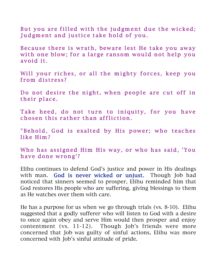But you are filled with the judgment due the wicked; Judgment and justice take hold of you.

Because there is wrath, beware lest He take you away with one blow; for a large ransom would not help you avoid it.

Will your riches, or all the mighty forces, keep you from distress?

Do not desire the night, when people are cut off in their place.

Take heed, do not turn to iniquity, for you have chosen this rather than affliction.

"Behold, God is exalted by His power; who teaches like Him?

Who has assigned Him His way, or who has said, 'You have done wrong'?

Elihu continues to defend God's justice and power in His dealings with man. God is never wicked or unjust. Though Job had noticed that sinners seemed to prosper, Elihu reminded him that God restores His people who are suffering, giving blessings to them as He watches over them with care.

He has a purpose for us when we go through trials (vs. 8-10). Elihu suggested that a godly sufferer who will listen to God with a desire to once again obey and serve Him would then prosper and enjoy contentment (vs. 11-12). Though Job's friends were more concerned that Job was guilty of sinful actions, Elihu was more concerned with Job's sinful attitude of pride.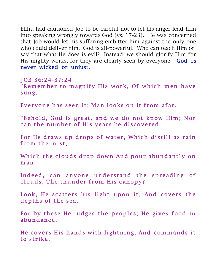Elihu had cautioned Job to be careful not to let his anger lead him into speaking wrongly towards God (vs. 17-23). He was concerned that Job would let his suffering embitter him against the only one who could deliver him. God is all-powerful. Who can teach Him or say that what He does is evil? Instead, we should glorify Him for His mighty works, for they are clearly seen by everyone. God is never wicked or unjust.

J OB 36:24-37:24 "Remember to magnify His work, Of which men have sung.

Everyone has seen it; Man looks on it from afar.

"Behold, God is great, and we do not know Him; Nor can the number of His years be discovered.

For He draws up drops of water, Which distill as rain from the mist,

Which the clouds drop down And pour abundantly on m an.

Indeed, can anyone understand the spreading of clouds, The thunder from His canopy?

Look, He scatters his light upon it, And covers the depths of the sea.

For by these He judges the peoples; He gives food in abundance.

He covers His hands with lightning, And commands it to strike.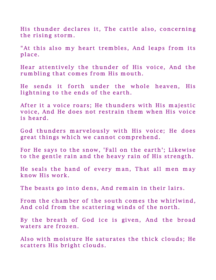His thunder declares it, The cattle also, concerning the rising storm.

"At this also my heart trembles, And leaps from its place.

Hear attentively the thunder of His voice, And the rum bling that comes from His mouth.

He sends it forth under the whole heaven, His lightning to the ends of the earth.

After it a voice roars; He thunders with His majestic voice, And He does not restrain them when His voice is heard.

God thunders marvelously with His voice; He does great things which we cannot comprehend.

For He says to the snow, 'Fall on the earth'; Likewise to the gentle rain and the heavy rain of His strength.

He seals the hand of every man, That all men may know His work.

The beasts go into dens, And remain in their lairs.

From the chamber of the south comes the whirlwind, And cold from the scattering winds of the north.

By the breath of God ice is given, And the broad waters are frozen.

Also with moisture He saturates the thick clouds; He scatters His bright clouds.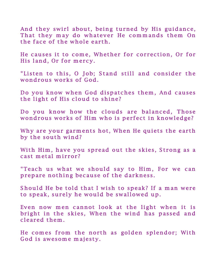And they swirl about, being turned by His guidance, That they may do whatever He commands them On the face of the whole earth.

He causes it to come, Whether for correction, Or for His land, Or for mercy.

"Listen to this, O Job; Stand still and consider the wondrous works of God.

Do you know when God dispatches them, And causes the light of His cloud to shine?

Do you know how the clouds are balanced, Those wondrous works of Him who is perfect in knowledge?

Why are your garments hot, When He quiets the earth by the south wind?

With Him, have you spread out the skies, Strong as a cast metal mirror?

"Teach us what we should say to Him, For we can prepare nothing because of the darkness.

Should He be told that I wish to speak? If a man were to speak, surely he would be swallowed up.

Even now men cannot look at the light when it is bright in the skies, When the wind has passed and cleared them.

He comes from the north as golden splendor; With God is awesome majesty.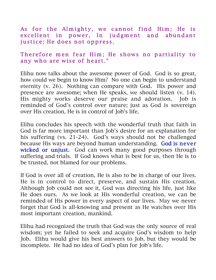As for the Almighty, we cannot find Him; He is excellent in power, In judgment and abundant justice; He does not oppress.

#### Therefore men fear Him; He shows no partiality to any who are wise of heart."

Elihu now talks about the awesome power of God. God is so great, how could we begin to know Him? No one can begin to understand eternity (v. 26). Nothing can compare with God. His power and presence are awesome; when He speaks, we should listen (v. 14). His mighty works deserve our praise and adoration. Job is reminded of God's control over nature; just as God is sovereign over His creation, He is in control of Job's life.

Elihu concludes his speech with the wonderful truth that faith in God is far more important than Job's desire for an explanation for his suffering (vs. 21-24). God's ways should not be challenged because His ways are beyond human understanding. God is never wicked or unjust. God can work many good purposes through suffering and trials. If God knows what is best for us, then He is to be trusted, not blamed for our problems.

If God is over all of creation, He is also to be in charge of our lives. He is in control to direct, preserve, and sustain His creation. Although Job could not see it, God was directing his life, just like He does ours. As we look at His wonderful creation, we can be reminded of His power in every aspect of our lives. May we never forget that God is all-knowing and present as He watches over His most important creation, mankind.

Elihu had recognized the truth that God was the only source of real wisdom; yet he failed to seek and acquire God's wisdom to help Job. Elihu would give his best answers to Job, but they would be incomplete. He had no idea of God's plan for Job's life.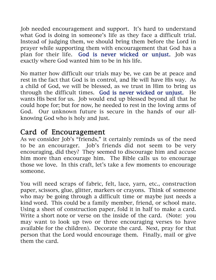Job needed encouragement and support. It's hard to understand what God is doing in someone's life as they face a difficult trial. Instead of judging them, we should bring them before the Lord in prayer while supporting them with encouragement that God has a plan for their life. God is never wicked or unjust. Job was exactly where God wanted him to be in his life.

No matter how difficult our trials may be, we can be at peace and rest in the fact that God is in control, and He will have His way. As a child of God, we will be blessed, as we trust in Him to bring us through the difficult times. God is never wicked or unjust. He wants His best for us. Job would end up blessed beyond all that he could hope for; but for now, he needed to rest in the loving arms of God. Our unknown future is secure in the hands of our allknowing God who is holy and just.

## Card of Encouragement

As we consider Job's "friends," it certainly reminds us of the need to be an encourager. Job's friends did not seem to be very encouraging, did they? They seemed to discourage him and accuse him more than encourage him. The Bible calls us to encourage those we love. In this craft, let's take a few moments to encourage someone.

You will need scraps of fabric, felt, lace, yarn, etc., construction paper, scissors, glue, glitter, markers or crayons. Think of someone who may be going through a difficult time or maybe just needs a kind word. This could be a family member, friend, or school mate. Using a sheet of construction paper, fold it in half to make a card. Write a short note or verse on the inside of the card. (Note: you may want to look up two or three encouraging verses to have available for the children). Decorate the card. Next, pray for that person that the Lord would encourage them. Finally, mail or give them the card.